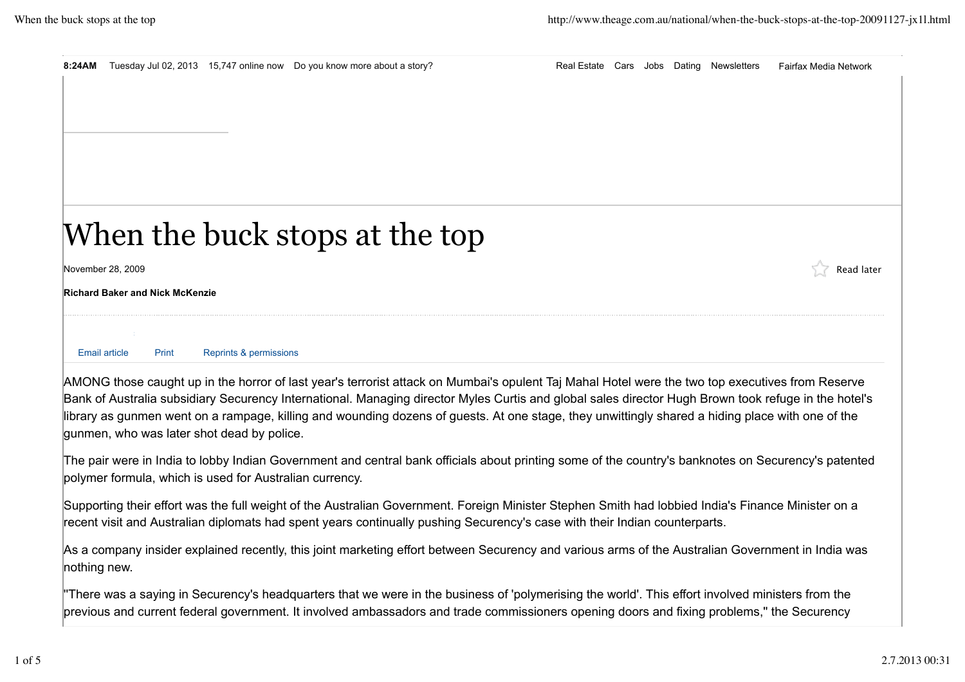|                                                                                                                                                                                                                                                                                                          |                                            |                                        | 8:24AM Tuesday Jul 02, 2013 15,747 online now Do you know more about a story? |  |  |  |  | Real Estate Cars Jobs Dating Newsletters | <b>Fairfax Media Network</b> |  |
|----------------------------------------------------------------------------------------------------------------------------------------------------------------------------------------------------------------------------------------------------------------------------------------------------------|--------------------------------------------|----------------------------------------|-------------------------------------------------------------------------------|--|--|--|--|------------------------------------------|------------------------------|--|
|                                                                                                                                                                                                                                                                                                          |                                            |                                        |                                                                               |  |  |  |  |                                          |                              |  |
|                                                                                                                                                                                                                                                                                                          |                                            |                                        |                                                                               |  |  |  |  |                                          |                              |  |
|                                                                                                                                                                                                                                                                                                          |                                            |                                        |                                                                               |  |  |  |  |                                          |                              |  |
|                                                                                                                                                                                                                                                                                                          |                                            |                                        |                                                                               |  |  |  |  |                                          |                              |  |
|                                                                                                                                                                                                                                                                                                          |                                            |                                        |                                                                               |  |  |  |  |                                          |                              |  |
|                                                                                                                                                                                                                                                                                                          |                                            |                                        |                                                                               |  |  |  |  |                                          |                              |  |
| When the buck stops at the top                                                                                                                                                                                                                                                                           |                                            |                                        |                                                                               |  |  |  |  |                                          |                              |  |
| November 28, 2009                                                                                                                                                                                                                                                                                        |                                            |                                        |                                                                               |  |  |  |  |                                          | Read later                   |  |
|                                                                                                                                                                                                                                                                                                          |                                            | <b>Richard Baker and Nick McKenzie</b> |                                                                               |  |  |  |  |                                          |                              |  |
|                                                                                                                                                                                                                                                                                                          | Email article                              | Print                                  | Reprints & permissions                                                        |  |  |  |  |                                          |                              |  |
|                                                                                                                                                                                                                                                                                                          |                                            |                                        |                                                                               |  |  |  |  |                                          |                              |  |
| AMONG those caught up in the horror of last year's terrorist attack on Mumbai's opulent Taj Mahal Hotel were the two top executives from Reserve<br>Bank of Australia subsidiary Securency International. Managing director Myles Curtis and global sales director Hugh Brown took refuge in the hotel's |                                            |                                        |                                                                               |  |  |  |  |                                          |                              |  |
| library as gunmen went on a rampage, killing and wounding dozens of guests. At one stage, they unwittingly shared a hiding place with one of the                                                                                                                                                         |                                            |                                        |                                                                               |  |  |  |  |                                          |                              |  |
|                                                                                                                                                                                                                                                                                                          | gunmen, who was later shot dead by police. |                                        |                                                                               |  |  |  |  |                                          |                              |  |

The pair were in India to lobby Indian Government and central bank officials about printing some of the country's banknotes on Securency's patented polymer formula, which is used for Australian currency.

Supporting their effort was the full weight of the Australian Government. Foreign Minister Stephen Smith had lobbied India's Finance Minister on a recent visit and Australian diplomats had spent years continually pushing Securency's case with their Indian counterparts.

As a company insider explained recently, this joint marketing effort between Securency and various arms of the Australian Government in India was nothing new.

''There was a saying in Securency's headquarters that we were in the business of 'polymerising the world'. This effort involved ministers from the previous and current federal government. It involved ambassadors and trade commissioners opening doors and fixing problems,'' the Securency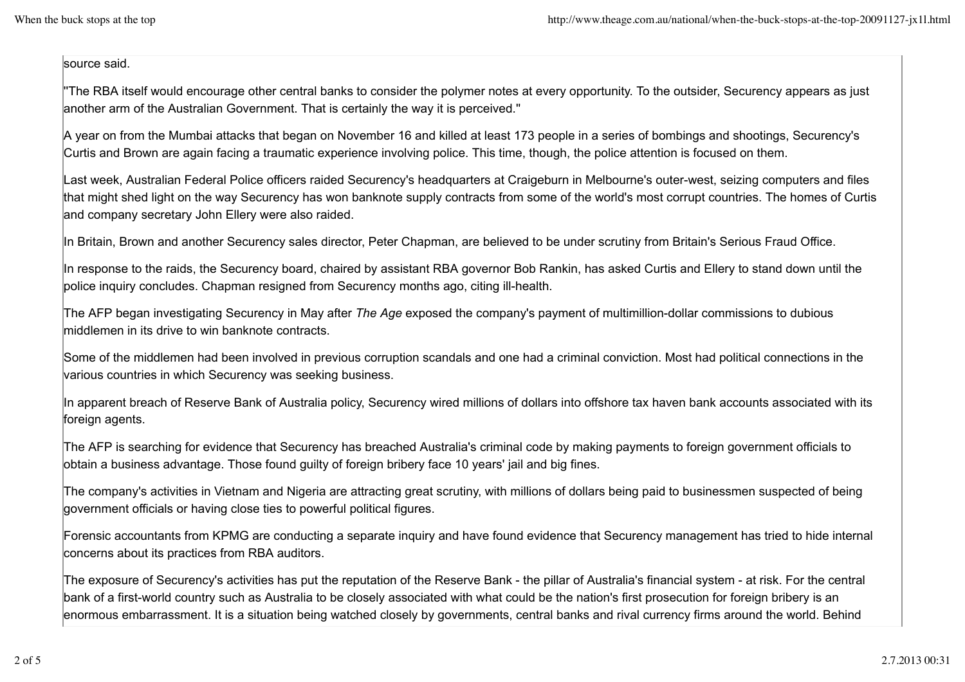## source said.

''The RBA itself would encourage other central banks to consider the polymer notes at every opportunity. To the outsider, Securency appears as just another arm of the Australian Government. That is certainly the way it is perceived.''

A year on from the Mumbai attacks that began on November 16 and killed at least 173 people in a series of bombings and shootings, Securency's Curtis and Brown are again facing a traumatic experience involving police. This time, though, the police attention is focused on them.

Last week, Australian Federal Police officers raided Securency's headquarters at Craigeburn in Melbourne's outer-west, seizing computers and files that might shed light on the way Securency has won banknote supply contracts from some of the world's most corrupt countries. The homes of Curtis and company secretary John Ellery were also raided.

In Britain, Brown and another Securency sales director, Peter Chapman, are believed to be under scrutiny from Britain's Serious Fraud Office.

In response to the raids, the Securency board, chaired by assistant RBA governor Bob Rankin, has asked Curtis and Ellery to stand down until the police inquiry concludes. Chapman resigned from Securency months ago, citing ill-health.

The AFP began investigating Securency in May after *The Age* exposed the company's payment of multimillion-dollar commissions to dubious middlemen in its drive to win banknote contracts.

Some of the middlemen had been involved in previous corruption scandals and one had a criminal conviction. Most had political connections in the various countries in which Securency was seeking business.

In apparent breach of Reserve Bank of Australia policy, Securency wired millions of dollars into offshore tax haven bank accounts associated with its foreign agents.

The AFP is searching for evidence that Securency has breached Australia's criminal code by making payments to foreign government officials to obtain a business advantage. Those found guilty of foreign bribery face 10 years' jail and big fines.

The company's activities in Vietnam and Nigeria are attracting great scrutiny, with millions of dollars being paid to businessmen suspected of being government officials or having close ties to powerful political figures.

Forensic accountants from KPMG are conducting a separate inquiry and have found evidence that Securency management has tried to hide internal concerns about its practices from RBA auditors.

The exposure of Securency's activities has put the reputation of the Reserve Bank - the pillar of Australia's financial system - at risk. For the central bank of a first-world country such as Australia to be closely associated with what could be the nation's first prosecution for foreign bribery is an enormous embarrassment. It is a situation being watched closely by governments, central banks and rival currency firms around the world. Behind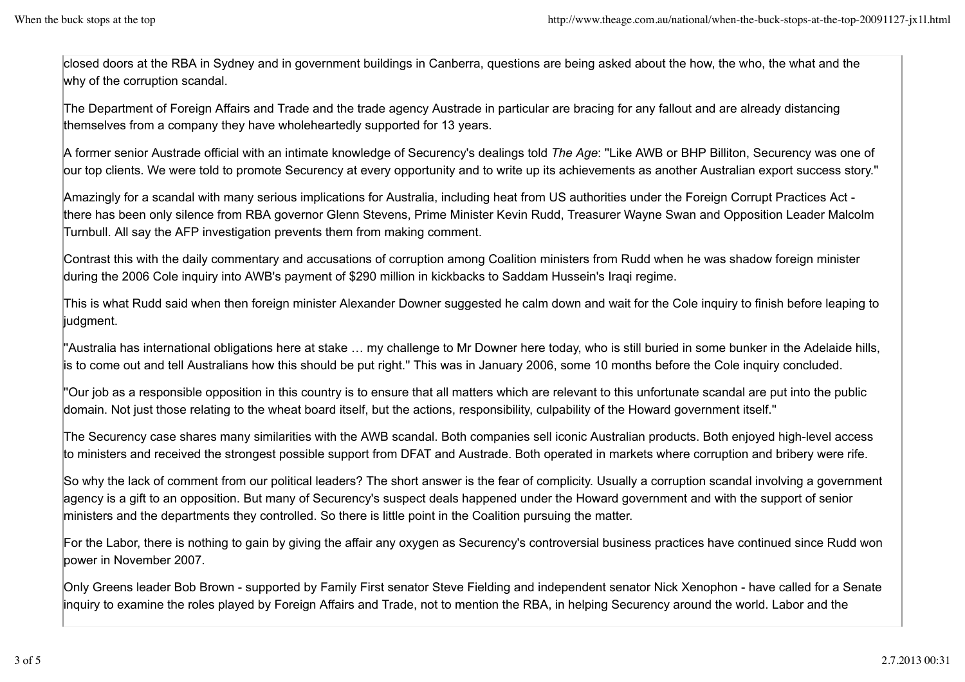closed doors at the RBA in Sydney and in government buildings in Canberra, questions are being asked about the how, the who, the what and the why of the corruption scandal.

The Department of Foreign Affairs and Trade and the trade agency Austrade in particular are bracing for any fallout and are already distancing themselves from a company they have wholeheartedly supported for 13 years.

A former senior Austrade official with an intimate knowledge of Securency's dealings told *The Age*: ''Like AWB or BHP Billiton, Securency was one of our top clients. We were told to promote Securency at every opportunity and to write up its achievements as another Australian export success story.''

Amazingly for a scandal with many serious implications for Australia, including heat from US authorities under the Foreign Corrupt Practices Act there has been only silence from RBA governor Glenn Stevens, Prime Minister Kevin Rudd, Treasurer Wayne Swan and Opposition Leader Malcolm Turnbull. All say the AFP investigation prevents them from making comment.

Contrast this with the daily commentary and accusations of corruption among Coalition ministers from Rudd when he was shadow foreign minister during the 2006 Cole inquiry into AWB's payment of \$290 million in kickbacks to Saddam Hussein's Iraqi regime.

This is what Rudd said when then foreign minister Alexander Downer suggested he calm down and wait for the Cole inquiry to finish before leaping to judgment.

''Australia has international obligations here at stake … my challenge to Mr Downer here today, who is still buried in some bunker in the Adelaide hills, is to come out and tell Australians how this should be put right.'' This was in January 2006, some 10 months before the Cole inquiry concluded.

''Our job as a responsible opposition in this country is to ensure that all matters which are relevant to this unfortunate scandal are put into the public domain. Not just those relating to the wheat board itself, but the actions, responsibility, culpability of the Howard government itself.''

The Securency case shares many similarities with the AWB scandal. Both companies sell iconic Australian products. Both enjoyed high-level access to ministers and received the strongest possible support from DFAT and Austrade. Both operated in markets where corruption and bribery were rife.

So why the lack of comment from our political leaders? The short answer is the fear of complicity. Usually a corruption scandal involving a government agency is a gift to an opposition. But many of Securency's suspect deals happened under the Howard government and with the support of senior ministers and the departments they controlled. So there is little point in the Coalition pursuing the matter.

For the Labor, there is nothing to gain by giving the affair any oxygen as Securency's controversial business practices have continued since Rudd won power in November 2007.

Only Greens leader Bob Brown - supported by Family First senator Steve Fielding and independent senator Nick Xenophon - have called for a Senate inquiry to examine the roles played by Foreign Affairs and Trade, not to mention the RBA, in helping Securency around the world. Labor and the